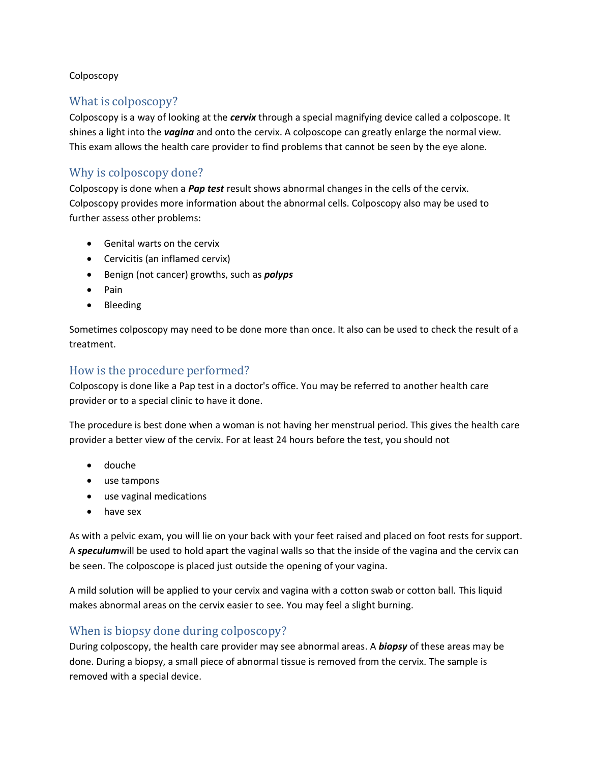#### Colposcopy

# What is colposcopy?

Colposcopy is a way of looking at the *cervix* through a special magnifying device called a colposcope. It shines a light into the *vagina* and onto the cervix. A colposcope can greatly enlarge the normal view. This exam allows the health care provider to find problems that cannot be seen by the eye alone.

# Why is colposcopy done?

Colposcopy is done when a *Pap test* result shows abnormal changes in the cells of the cervix. Colposcopy provides more information about the abnormal cells. Colposcopy also may be used to further assess other problems:

- Genital warts on the cervix
- Cervicitis (an inflamed cervix)
- **Benign (not cancer) growths, such as** *polyps*
- Pain
- Bleeding

Sometimes colposcopy may need to be done more than once. It also can be used to check the result of a treatment.

### How is the procedure performed?

Colposcopy is done like a Pap test in a doctor's office. You may be referred to another health care provider or to a special clinic to have it done.

The procedure is best done when a woman is not having her menstrual period. This gives the health care provider a better view of the cervix. For at least 24 hours before the test, you should not

- douche
- use tampons
- use vaginal medications
- have sex

As with a pelvic exam, you will lie on your back with your feet raised and placed on foot rests for support. A *speculum*will be used to hold apart the vaginal walls so that the inside of the vagina and the cervix can be seen. The colposcope is placed just outside the opening of your vagina.

A mild solution will be applied to your cervix and vagina with a cotton swab or cotton ball. This liquid makes abnormal areas on the cervix easier to see. You may feel a slight burning.

# When is biopsy done during colposcopy?

During colposcopy, the health care provider may see abnormal areas. A *biopsy* of these areas may be done. During a biopsy, a small piece of abnormal tissue is removed from the cervix. The sample is removed with a special device.